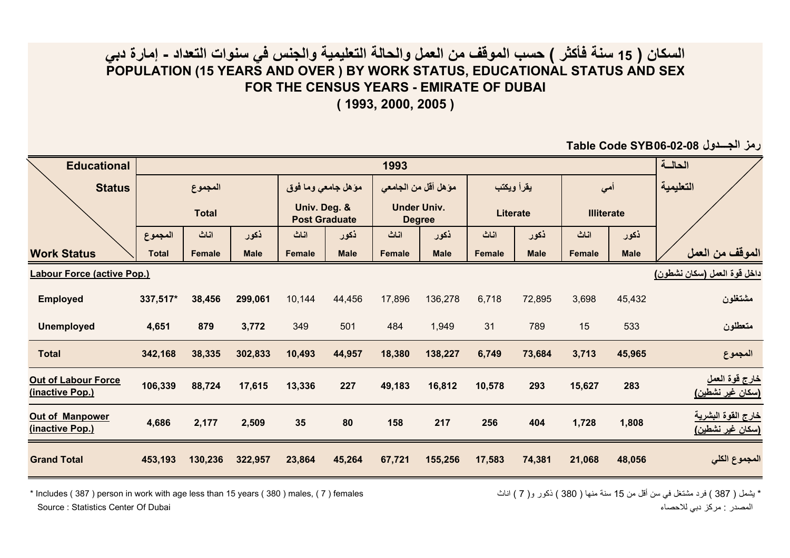## **السكان ( 15 سنة فأآثر ) حسب الموقف من العمل والحالة التعليمية والجنس في سنوات التعداد - إمارة دبي POPULATION (15 YEARS AND OVER ) BY WORK STATUS, EDUCATIONAL STATUS AND SEX FOR THE CENSUS YEARS - EMIRATE OF DUBAI**

**( 1993, 2000, 2005 )**

**Table Code SYB06-02-08 الجـــدول رمز**

| <b>Educational</b>                            |                         | 1993          |             |                                                            |             |                                                               |             |                               |             |                          |             | الحالسة                                            |
|-----------------------------------------------|-------------------------|---------------|-------------|------------------------------------------------------------|-------------|---------------------------------------------------------------|-------------|-------------------------------|-------------|--------------------------|-------------|----------------------------------------------------|
| <b>Status</b>                                 | المجموع<br><b>Total</b> |               |             | مؤهل جامعي وما فوق<br>Univ. Deg. &<br><b>Post Graduate</b> |             | موَّ هل أقل من الجامعي<br><b>Under Univ.</b><br><b>Degree</b> |             | يقرأ ويكتب<br><b>Literate</b> |             | أحى<br><b>Illiterate</b> |             | التعليمية                                          |
|                                               |                         |               |             |                                                            |             |                                                               |             |                               |             |                          |             |                                                    |
|                                               | المجموع                 | اناث          | ذكور        | اناث                                                       | ذكور        | اناث                                                          | ذكور        | اناث                          | ذكور        | اناث                     | ذكور        |                                                    |
| <b>Work Status</b>                            | <b>Total</b>            | <b>Female</b> | <b>Male</b> | <b>Female</b>                                              | <b>Male</b> | <b>Female</b>                                                 | <b>Male</b> | <b>Female</b>                 | <b>Male</b> | <b>Female</b>            | <b>Male</b> | الموقف من العمل                                    |
| <b>Labour Force (active Pop.)</b>             |                         |               |             |                                                            |             |                                                               |             |                               |             |                          |             | داخل قوة العمل (سكان نشطون)                        |
| <b>Employed</b>                               | 337,517*                | 38,456        | 299,061     | 10,144                                                     | 44,456      | 17,896                                                        | 136,278     | 6,718                         | 72,895      | 3,698                    | 45,432      | مشتغلون                                            |
| <b>Unemployed</b>                             | 4,651                   | 879           | 3,772       | 349                                                        | 501         | 484                                                           | 1,949       | 31                            | 789         | 15                       | 533         | متعطلون                                            |
| <b>Total</b>                                  | 342,168                 | 38,335        | 302,833     | 10,493                                                     | 44,957      | 18,380                                                        | 138,227     | 6,749                         | 73,684      | 3,713                    | 45,965      | المجموع                                            |
| <b>Out of Labour Force</b><br>(inactive Pop.) | 106,339                 | 88,724        | 17,615      | 13,336                                                     | 227         | 49,183                                                        | 16,812      | 10,578                        | 293         | 15,627                   | 283         | خارج قوة العمل<br>(سكا <i>ن</i> غير نشطي <u>ن)</u> |
| <b>Out of Manpower</b><br>(inactive Pop.)     | 4,686                   | 2,177         | 2,509       | 35                                                         | 80          | 158                                                           | 217         | 256                           | 404         | 1,728                    | 1,808       | خارج القوة البشرية<br><u>(سكان غير نشطين)</u>      |
| <b>Grand Total</b>                            | 453,193                 | 130,236       | 322,957     | 23,864                                                     | 45,264      | 67,721                                                        | 155,256     | 17,583                        | 74,381      | 21,068                   | 48,056      | المجموع الكلي                                      |

\* يشمل ( 387 ) فرد مشتغل في سن أقل من 15 سنة منها ( 380 ) ذكور و( 7 ) اناث females ( 387 ) فادة منها ( 380 ) ذكور و( 7 ) اناث fincludes ( 387 ) person in work with age less than 15 years ( 380 ) males ( 7 ) females Source : Statistics Center Of Dubai

المصدر : مركز دبي للاحصاء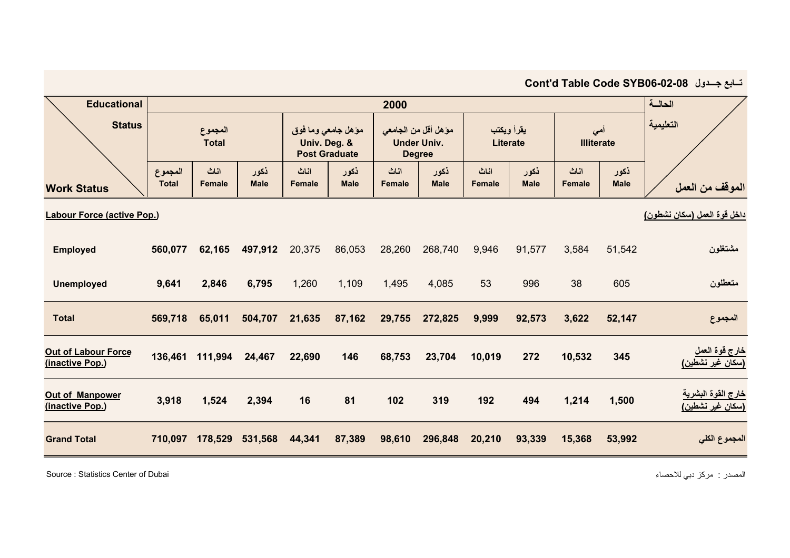| تسابع جسدول Cont'd Table Code SYB06-02-08     |                         |                       |                     |                                                            |                     |                                                              |                     |                               |                     |                          |                     |                                                           |
|-----------------------------------------------|-------------------------|-----------------------|---------------------|------------------------------------------------------------|---------------------|--------------------------------------------------------------|---------------------|-------------------------------|---------------------|--------------------------|---------------------|-----------------------------------------------------------|
| <b>Educational</b>                            | 2000                    |                       |                     |                                                            |                     |                                                              |                     |                               |                     |                          | الحالسة             |                                                           |
| <b>Status</b>                                 | المجموع<br><b>Total</b> |                       |                     | مؤهل جامعي وما فوق<br>Univ. Deg. &<br><b>Post Graduate</b> |                     | موّ هل أقل من الجامعي<br><b>Under Univ.</b><br><b>Degree</b> |                     | يقرأ ويكتب<br><b>Literate</b> |                     | أهي<br><b>Illiterate</b> |                     | التعليمية                                                 |
| <b>Work Status</b>                            | المجموع<br><b>Total</b> | اناث<br><b>Female</b> | ذكور<br><b>Male</b> | اناث<br><b>Female</b>                                      | ذكور<br><b>Male</b> | اناث<br><b>Female</b>                                        | ذكور<br><b>Male</b> | اناث<br><b>Female</b>         | ذكور<br><b>Male</b> | اناث<br><b>Female</b>    | ذكور<br><b>Male</b> | الموقف من العمل                                           |
| <b>Labour Force (active Pop.)</b>             |                         |                       |                     |                                                            |                     |                                                              |                     |                               |                     |                          |                     | داخل قوة العمل (سكان نشطون)                               |
| <b>Employed</b>                               | 560,077                 | 62,165                | 497,912             | 20,375                                                     | 86,053              | 28,260                                                       | 268,740             | 9,946                         | 91,577              | 3,584                    | 51,542              | مشتغلون                                                   |
| <b>Unemployed</b>                             | 9,641                   | 2,846                 | 6,795               | 1,260                                                      | 1,109               | 1,495                                                        | 4,085               | 53                            | 996                 | 38                       | 605                 | متعطلون                                                   |
| <b>Total</b>                                  | 569,718                 | 65,011                | 504,707             | 21,635                                                     | 87,162              | 29,755                                                       | 272,825             | 9,999                         | 92,573              | 3,622                    | 52,147              | المجموع                                                   |
| <b>Out of Labour Force</b><br>(inactive Pop.) | 136,461                 | 111,994               | 24,467              | 22,690                                                     | 146                 | 68,753                                                       | 23,704              | 10,019                        | 272                 | 10,532                   | 345                 | <u>خارج قوة العمل</u><br>(سكا <i>ن</i> غير نشطي <u>ن)</u> |
| Out of Manpower<br>(inactive Pop.)            | 3,918                   | 1,524                 | 2,394               | 16                                                         | 81                  | 102                                                          | 319                 | 192                           | 494                 | 1,214                    | 1,500               | <u>خارج القوة البشرية</u><br><u>(سكان غير نشطين)</u>      |
| <b>Grand Total</b>                            | 710,097                 | 178,529               | 531,568             | 44,341                                                     | 87,389              | 98,610                                                       | 296,848             | 20,210                        | 93,339              | 15,368                   | 53,992              | المجموع الكلي                                             |

Source : Statistics Center of Dubai

المصدر : مركز دبي للاحصاء